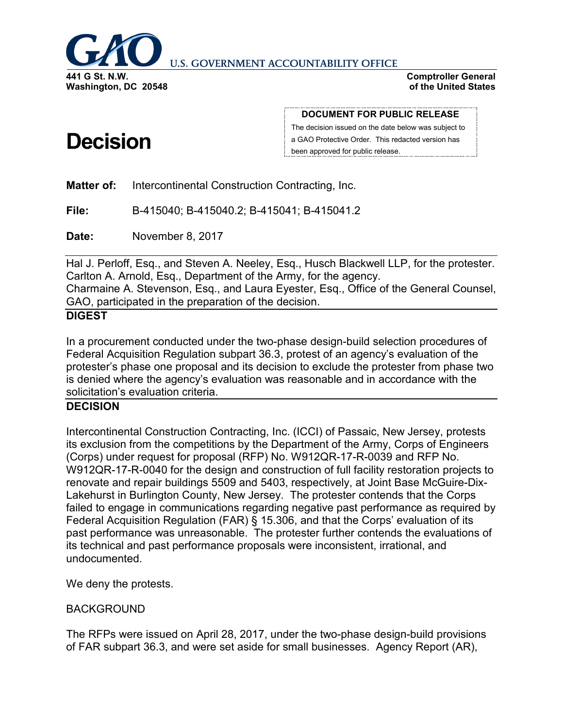

**U.S. GOVERNMENT ACCOUNTABILITY OFFICE** 

**Comptroller General of the United States**

# **Decision**

**DOCUMENT FOR PUBLIC RELEASE**

The decision issued on the date below was subject to a GAO Protective Order. This redacted version has been approved for public release.

**Matter of:** Intercontinental Construction Contracting, Inc.

**File:** B-415040; B-415040.2; B-415041; B-415041.2

**Date:** November 8, 2017

Hal J. Perloff, Esq., and Steven A. Neeley, Esq., Husch Blackwell LLP, for the protester. Carlton A. Arnold, Esq., Department of the Army, for the agency. Charmaine A. Stevenson, Esq., and Laura Eyester, Esq., Office of the General Counsel, GAO, participated in the preparation of the decision.

## **DIGEST**

In a procurement conducted under the two-phase design-build selection procedures of Federal Acquisition Regulation subpart 36.3, protest of an agency's evaluation of the protester's phase one proposal and its decision to exclude the protester from phase two is denied where the agency's evaluation was reasonable and in accordance with the solicitation's evaluation criteria.

## **DECISION**

Intercontinental Construction Contracting, Inc. (ICCI) of Passaic, New Jersey, protests its exclusion from the competitions by the Department of the Army, Corps of Engineers (Corps) under request for proposal (RFP) No. W912QR-17-R-0039 and RFP No. W912QR-17-R-0040 for the design and construction of full facility restoration projects to renovate and repair buildings 5509 and 5403, respectively, at Joint Base McGuire-Dix-Lakehurst in Burlington County, New Jersey. The protester contends that the Corps failed to engage in communications regarding negative past performance as required by Federal Acquisition Regulation (FAR) § 15.306, and that the Corps' evaluation of its past performance was unreasonable. The protester further contends the evaluations of its technical and past performance proposals were inconsistent, irrational, and undocumented.

We deny the protests.

#### BACKGROUND

The RFPs were issued on April 28, 2017, under the two-phase design-build provisions of FAR subpart 36.3, and were set aside for small businesses. Agency Report (AR),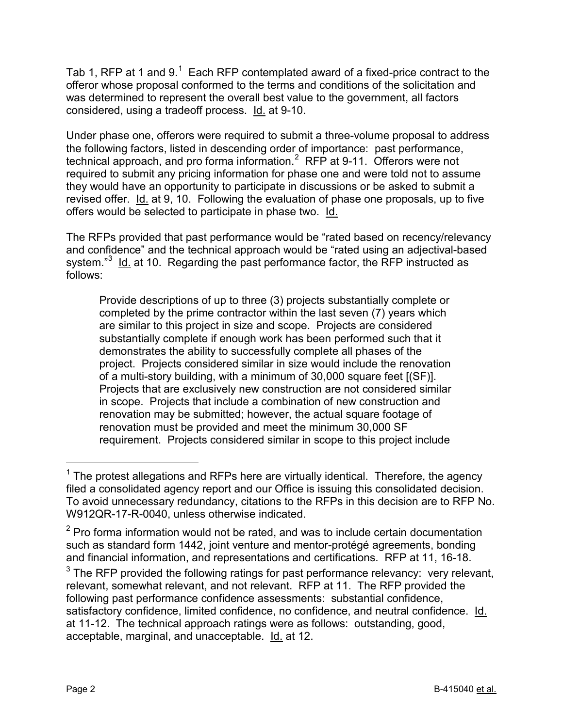Tab [1](#page-1-0), RFP at 1 and 9.<sup>1</sup> Each RFP contemplated award of a fixed-price contract to the offeror whose proposal conformed to the terms and conditions of the solicitation and was determined to represent the overall best value to the government, all factors considered, using a tradeoff process. Id. at 9-10.

Under phase one, offerors were required to submit a three-volume proposal to address the following factors, listed in descending order of importance: past performance, technical approach, and pro forma information. $^2$  $^2$  RFP at 9-11. Offerors were not required to submit any pricing information for phase one and were told not to assume they would have an opportunity to participate in discussions or be asked to submit a revised offer. Id. at 9, 10. Following the evaluation of phase one proposals, up to five offers would be selected to participate in phase two. Id.

The RFPs provided that past performance would be "rated based on recency/relevancy and confidence" and the technical approach would be "rated using an adjectival-based system."<sup>[3](#page-1-2)</sup> Id. at 10. Regarding the past performance factor, the RFP instructed as follows:

Provide descriptions of up to three (3) projects substantially complete or completed by the prime contractor within the last seven (7) years which are similar to this project in size and scope. Projects are considered substantially complete if enough work has been performed such that it demonstrates the ability to successfully complete all phases of the project. Projects considered similar in size would include the renovation of a multi-story building, with a minimum of 30,000 square feet [(SF)]. Projects that are exclusively new construction are not considered similar in scope. Projects that include a combination of new construction and renovation may be submitted; however, the actual square footage of renovation must be provided and meet the minimum 30,000 SF requirement. Projects considered similar in scope to this project include

<span id="page-1-0"></span> $1$  The protest allegations and RFPs here are virtually identical. Therefore, the agency filed a consolidated agency report and our Office is issuing this consolidated decision. To avoid unnecessary redundancy, citations to the RFPs in this decision are to RFP No. W912QR-17-R-0040, unless otherwise indicated.

<span id="page-1-1"></span> $2$  Pro forma information would not be rated, and was to include certain documentation such as standard form 1442, joint venture and mentor-protégé agreements, bonding and financial information, and representations and certifications. RFP at 11, 16-18.

<span id="page-1-2"></span> $3$  The RFP provided the following ratings for past performance relevancy: very relevant, relevant, somewhat relevant, and not relevant. RFP at 11. The RFP provided the following past performance confidence assessments: substantial confidence, satisfactory confidence, limited confidence, no confidence, and neutral confidence. Id. at 11-12. The technical approach ratings were as follows: outstanding, good, acceptable, marginal, and unacceptable. Id. at 12.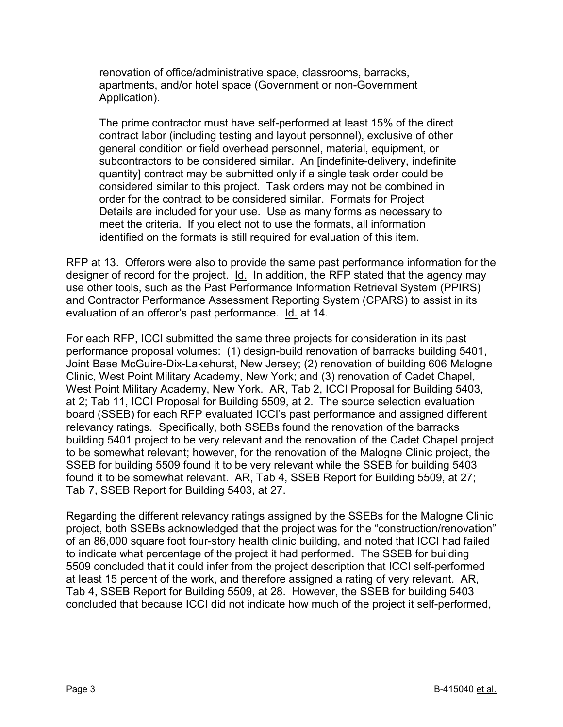renovation of office/administrative space, classrooms, barracks, apartments, and/or hotel space (Government or non-Government Application).

The prime contractor must have self-performed at least 15% of the direct contract labor (including testing and layout personnel), exclusive of other general condition or field overhead personnel, material, equipment, or subcontractors to be considered similar. An [indefinite-delivery, indefinite quantity] contract may be submitted only if a single task order could be considered similar to this project. Task orders may not be combined in order for the contract to be considered similar. Formats for Project Details are included for your use. Use as many forms as necessary to meet the criteria. If you elect not to use the formats, all information identified on the formats is still required for evaluation of this item.

RFP at 13. Offerors were also to provide the same past performance information for the designer of record for the project. Id. In addition, the RFP stated that the agency may use other tools, such as the Past Performance Information Retrieval System (PPIRS) and Contractor Performance Assessment Reporting System (CPARS) to assist in its evaluation of an offeror's past performance. Id. at 14.

For each RFP, ICCI submitted the same three projects for consideration in its past performance proposal volumes: (1) design-build renovation of barracks building 5401, Joint Base McGuire-Dix-Lakehurst, New Jersey; (2) renovation of building 606 Malogne Clinic, West Point Military Academy, New York; and (3) renovation of Cadet Chapel, West Point Military Academy, New York. AR, Tab 2, ICCI Proposal for Building 5403, at 2; Tab 11, ICCI Proposal for Building 5509, at 2. The source selection evaluation board (SSEB) for each RFP evaluated ICCI's past performance and assigned different relevancy ratings. Specifically, both SSEBs found the renovation of the barracks building 5401 project to be very relevant and the renovation of the Cadet Chapel project to be somewhat relevant; however, for the renovation of the Malogne Clinic project, the SSEB for building 5509 found it to be very relevant while the SSEB for building 5403 found it to be somewhat relevant. AR, Tab 4, SSEB Report for Building 5509, at 27; Tab 7, SSEB Report for Building 5403, at 27.

Regarding the different relevancy ratings assigned by the SSEBs for the Malogne Clinic project, both SSEBs acknowledged that the project was for the "construction/renovation" of an 86,000 square foot four-story health clinic building, and noted that ICCI had failed to indicate what percentage of the project it had performed. The SSEB for building 5509 concluded that it could infer from the project description that ICCI self-performed at least 15 percent of the work, and therefore assigned a rating of very relevant. AR, Tab 4, SSEB Report for Building 5509, at 28. However, the SSEB for building 5403 concluded that because ICCI did not indicate how much of the project it self-performed,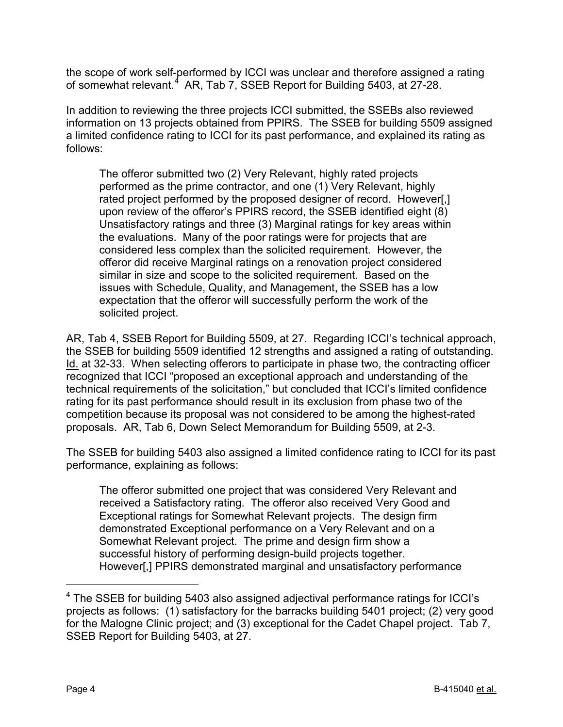the scope of work self-performed by ICCI was unclear and therefore assigned a rating of somewhat relevant.<sup>[4](#page-3-0)</sup> AR, Tab 7, SSEB Report for Building 5403, at 27-28.

In addition to reviewing the three projects ICCI submitted, the SSEBs also reviewed information on 13 projects obtained from PPIRS. The SSEB for building 5509 assigned a limited confidence rating to ICCI for its past performance, and explained its rating as follows:

The offeror submitted two (2) Very Relevant, highly rated projects performed as the prime contractor, and one (1) Very Relevant, highly rated project performed by the proposed designer of record. However[,] upon review of the offeror's PPIRS record, the SSEB identified eight (8) Unsatisfactory ratings and three (3) Marginal ratings for key areas within the evaluations. Many of the poor ratings were for projects that are considered less complex than the solicited requirement. However, the offeror did receive Marginal ratings on a renovation project considered similar in size and scope to the solicited requirement. Based on the issues with Schedule, Quality, and Management, the SSEB has a low expectation that the offeror will successfully perform the work of the solicited project.

AR, Tab 4, SSEB Report for Building 5509, at 27. Regarding ICCI's technical approach, the SSEB for building 5509 identified 12 strengths and assigned a rating of outstanding. Id. at 32-33. When selecting offerors to participate in phase two, the contracting officer recognized that ICCI "proposed an exceptional approach and understanding of the technical requirements of the solicitation," but concluded that ICCI's limited confidence rating for its past performance should result in its exclusion from phase two of the competition because its proposal was not considered to be among the highest-rated proposals. AR, Tab 6, Down Select Memorandum for Building 5509, at 2-3.

The SSEB for building 5403 also assigned a limited confidence rating to ICCI for its past performance, explaining as follows:

The offeror submitted one project that was considered Very Relevant and received a Satisfactory rating. The offeror also received Very Good and Exceptional ratings for Somewhat Relevant projects. The design firm demonstrated Exceptional performance on a Very Relevant and on a Somewhat Relevant project. The prime and design firm show a successful history of performing design-build projects together. However[,] PPIRS demonstrated marginal and unsatisfactory performance

<span id="page-3-0"></span><sup>&</sup>lt;sup>4</sup> The SSEB for building 5403 also assigned adjectival performance ratings for ICCI's projects as follows: (1) satisfactory for the barracks building 5401 project; (2) very good for the Malogne Clinic project; and (3) exceptional for the Cadet Chapel project. Tab 7, SSEB Report for Building 5403, at 27.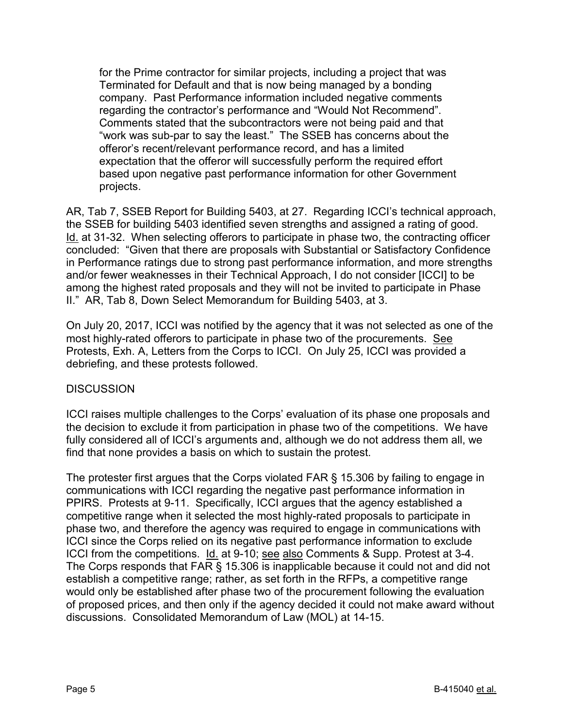for the Prime contractor for similar projects, including a project that was Terminated for Default and that is now being managed by a bonding company. Past Performance information included negative comments regarding the contractor's performance and "Would Not Recommend". Comments stated that the subcontractors were not being paid and that "work was sub-par to say the least." The SSEB has concerns about the offeror's recent/relevant performance record, and has a limited expectation that the offeror will successfully perform the required effort based upon negative past performance information for other Government projects.

AR, Tab 7, SSEB Report for Building 5403, at 27. Regarding ICCI's technical approach, the SSEB for building 5403 identified seven strengths and assigned a rating of good. Id. at 31-32. When selecting offerors to participate in phase two, the contracting officer concluded: "Given that there are proposals with Substantial or Satisfactory Confidence in Performance ratings due to strong past performance information, and more strengths and/or fewer weaknesses in their Technical Approach, I do not consider [ICCI] to be among the highest rated proposals and they will not be invited to participate in Phase II." AR, Tab 8, Down Select Memorandum for Building 5403, at 3.

On July 20, 2017, ICCI was notified by the agency that it was not selected as one of the most highly-rated offerors to participate in phase two of the procurements. See Protests, Exh. A, Letters from the Corps to ICCI. On July 25, ICCI was provided a debriefing, and these protests followed.

#### **DISCUSSION**

ICCI raises multiple challenges to the Corps' evaluation of its phase one proposals and the decision to exclude it from participation in phase two of the competitions. We have fully considered all of ICCI's arguments and, although we do not address them all, we find that none provides a basis on which to sustain the protest.

The protester first argues that the Corps violated FAR § 15.306 by failing to engage in communications with ICCI regarding the negative past performance information in PPIRS. Protests at 9-11. Specifically, ICCI argues that the agency established a competitive range when it selected the most highly-rated proposals to participate in phase two, and therefore the agency was required to engage in communications with ICCI since the Corps relied on its negative past performance information to exclude ICCI from the competitions. Id. at 9-10; see also Comments & Supp. Protest at 3-4. The Corps responds that FAR § 15.306 is inapplicable because it could not and did not establish a competitive range; rather, as set forth in the RFPs, a competitive range would only be established after phase two of the procurement following the evaluation of proposed prices, and then only if the agency decided it could not make award without discussions. Consolidated Memorandum of Law (MOL) at 14-15.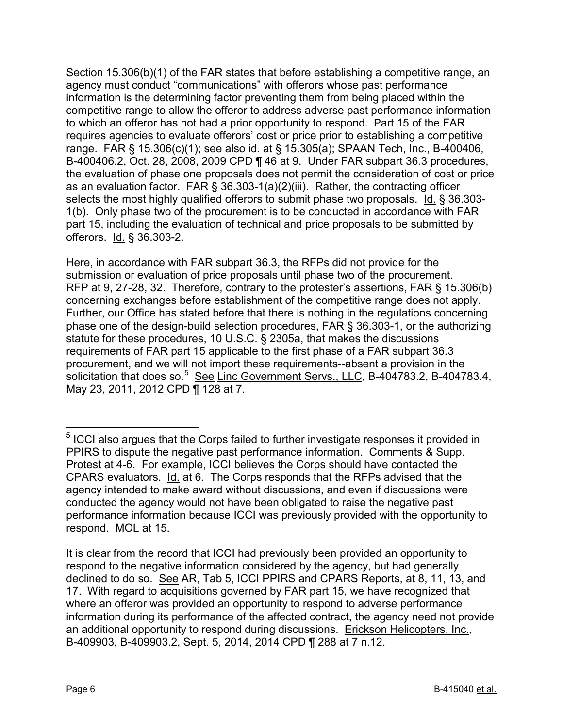Section 15.306(b)(1) of the FAR states that before establishing a competitive range, an agency must conduct "communications" with offerors whose past performance information is the determining factor preventing them from being placed within the competitive range to allow the offeror to address adverse past performance information to which an offeror has not had a prior opportunity to respond. Part 15 of the FAR requires agencies to evaluate offerors' cost or price prior to establishing a competitive range. FAR § 15.306(c)(1); see also id. at § 15.305(a); SPAAN Tech, Inc., B-400406, B-400406.2, Oct. 28, 2008, 2009 CPD ¶ 46 at 9. Under FAR subpart 36.3 procedures, the evaluation of phase one proposals does not permit the consideration of cost or price as an evaluation factor. FAR § 36.303-1(a)(2)(iii). Rather, the contracting officer selects the most highly qualified offerors to submit phase two proposals. Id. § 36.303- 1(b). Only phase two of the procurement is to be conducted in accordance with FAR part 15, including the evaluation of technical and price proposals to be submitted by offerors. Id. § 36.303-2.

Here, in accordance with FAR subpart 36.3, the RFPs did not provide for the submission or evaluation of price proposals until phase two of the procurement. RFP at 9, 27-28, 32. Therefore, contrary to the protester's assertions, FAR § 15.306(b) concerning exchanges before establishment of the competitive range does not apply. Further, our Office has stated before that there is nothing in the regulations concerning phase one of the design-build selection procedures, FAR § 36.303-1, or the authorizing statute for these procedures, 10 U.S.C. § 2305a, that makes the discussions requirements of FAR part 15 applicable to the first phase of a FAR subpart 36.3 procurement, and we will not import these requirements--absent a provision in the solicitation that does so.<sup>[5](#page-5-0)</sup> See Linc Government Servs., LLC, B-404783.2, B-404783.4, May 23, 2011, 2012 CPD ¶ 128 at 7.

<span id="page-5-0"></span> <sup>5</sup> ICCI also argues that the Corps failed to further investigate responses it provided in PPIRS to dispute the negative past performance information. Comments & Supp. Protest at 4-6. For example, ICCI believes the Corps should have contacted the CPARS evaluators. Id. at 6. The Corps responds that the RFPs advised that the agency intended to make award without discussions, and even if discussions were conducted the agency would not have been obligated to raise the negative past performance information because ICCI was previously provided with the opportunity to respond. MOL at 15.

It is clear from the record that ICCI had previously been provided an opportunity to respond to the negative information considered by the agency, but had generally declined to do so. See AR, Tab 5, ICCI PPIRS and CPARS Reports, at 8, 11, 13, and 17. With regard to acquisitions governed by FAR part 15, we have recognized that where an offeror was provided an opportunity to respond to adverse performance information during its performance of the affected contract, the agency need not provide an additional opportunity to respond during discussions. Erickson Helicopters, Inc., B-409903, B-409903.2, Sept. 5, 2014, 2014 CPD ¶ 288 at 7 n.12.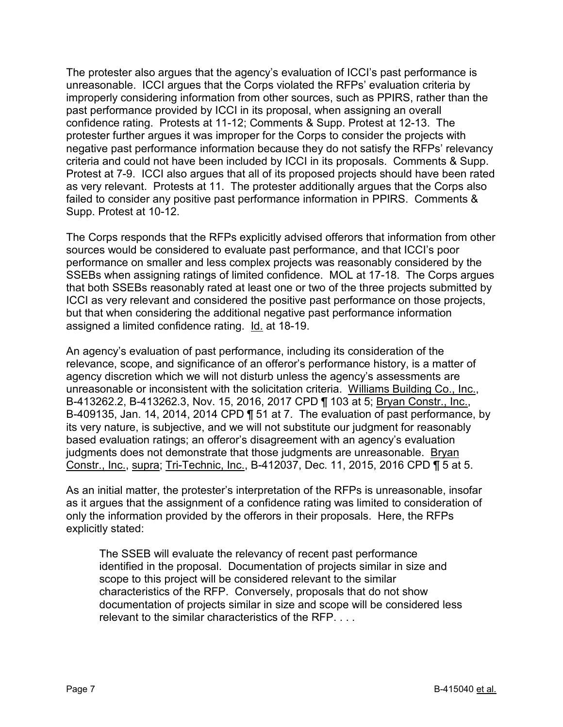The protester also argues that the agency's evaluation of ICCI's past performance is unreasonable. ICCI argues that the Corps violated the RFPs' evaluation criteria by improperly considering information from other sources, such as PPIRS, rather than the past performance provided by ICCI in its proposal, when assigning an overall confidence rating. Protests at 11-12; Comments & Supp. Protest at 12-13. The protester further argues it was improper for the Corps to consider the projects with negative past performance information because they do not satisfy the RFPs' relevancy criteria and could not have been included by ICCI in its proposals. Comments & Supp. Protest at 7-9. ICCI also argues that all of its proposed projects should have been rated as very relevant. Protests at 11. The protester additionally argues that the Corps also failed to consider any positive past performance information in PPIRS. Comments & Supp. Protest at 10-12.

The Corps responds that the RFPs explicitly advised offerors that information from other sources would be considered to evaluate past performance, and that ICCI's poor performance on smaller and less complex projects was reasonably considered by the SSEBs when assigning ratings of limited confidence. MOL at 17-18. The Corps argues that both SSEBs reasonably rated at least one or two of the three projects submitted by ICCI as very relevant and considered the positive past performance on those projects, but that when considering the additional negative past performance information assigned a limited confidence rating. Id. at 18-19.

An agency's evaluation of past performance, including its consideration of the relevance, scope, and significance of an offeror's performance history, is a matter of agency discretion which we will not disturb unless the agency's assessments are unreasonable or inconsistent with the solicitation criteria. Williams Building Co., Inc., B-413262.2, B-413262.3, Nov. 15, 2016, 2017 CPD ¶ 103 at 5; Bryan Constr., Inc., B-409135, Jan. 14, 2014, 2014 CPD ¶ 51 at 7. The evaluation of past performance, by its very nature, is subjective, and we will not substitute our judgment for reasonably based evaluation ratings; an offeror's disagreement with an agency's evaluation judgments does not demonstrate that those judgments are unreasonable. Bryan Constr., Inc., supra; Tri-Technic, Inc., B-412037, Dec. 11, 2015, 2016 CPD ¶ 5 at 5.

As an initial matter, the protester's interpretation of the RFPs is unreasonable, insofar as it argues that the assignment of a confidence rating was limited to consideration of only the information provided by the offerors in their proposals. Here, the RFPs explicitly stated:

The SSEB will evaluate the relevancy of recent past performance identified in the proposal. Documentation of projects similar in size and scope to this project will be considered relevant to the similar characteristics of the RFP. Conversely, proposals that do not show documentation of projects similar in size and scope will be considered less relevant to the similar characteristics of the RFP. . . .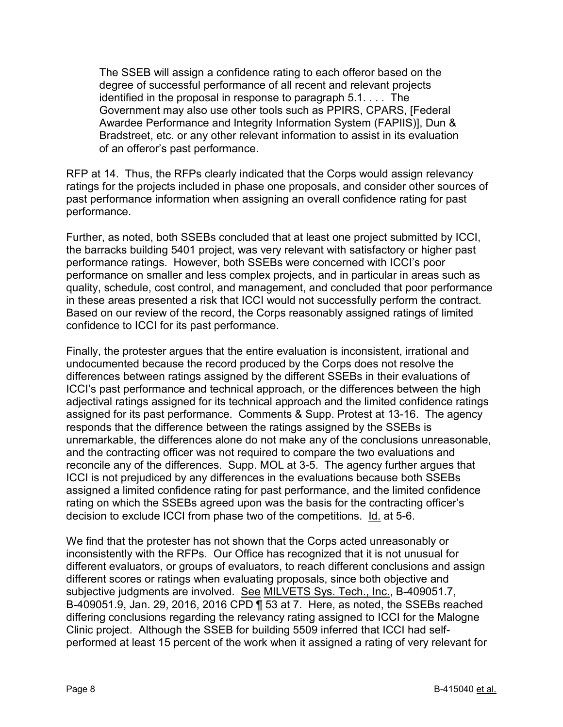The SSEB will assign a confidence rating to each offeror based on the degree of successful performance of all recent and relevant projects identified in the proposal in response to paragraph 5.1. . . . The Government may also use other tools such as PPIRS, CPARS, [Federal Awardee Performance and Integrity Information System (FAPIIS)], Dun & Bradstreet, etc. or any other relevant information to assist in its evaluation of an offeror's past performance.

RFP at 14. Thus, the RFPs clearly indicated that the Corps would assign relevancy ratings for the projects included in phase one proposals, and consider other sources of past performance information when assigning an overall confidence rating for past performance.

Further, as noted, both SSEBs concluded that at least one project submitted by ICCI, the barracks building 5401 project, was very relevant with satisfactory or higher past performance ratings. However, both SSEBs were concerned with ICCI's poor performance on smaller and less complex projects, and in particular in areas such as quality, schedule, cost control, and management, and concluded that poor performance in these areas presented a risk that ICCI would not successfully perform the contract. Based on our review of the record, the Corps reasonably assigned ratings of limited confidence to ICCI for its past performance.

Finally, the protester argues that the entire evaluation is inconsistent, irrational and undocumented because the record produced by the Corps does not resolve the differences between ratings assigned by the different SSEBs in their evaluations of ICCI's past performance and technical approach, or the differences between the high adjectival ratings assigned for its technical approach and the limited confidence ratings assigned for its past performance. Comments & Supp. Protest at 13-16. The agency responds that the difference between the ratings assigned by the SSEBs is unremarkable, the differences alone do not make any of the conclusions unreasonable, and the contracting officer was not required to compare the two evaluations and reconcile any of the differences. Supp. MOL at 3-5. The agency further argues that ICCI is not prejudiced by any differences in the evaluations because both SSEBs assigned a limited confidence rating for past performance, and the limited confidence rating on which the SSEBs agreed upon was the basis for the contracting officer's decision to exclude ICCI from phase two of the competitions. Id. at 5-6.

We find that the protester has not shown that the Corps acted unreasonably or inconsistently with the RFPs. Our Office has recognized that it is not unusual for different evaluators, or groups of evaluators, to reach different conclusions and assign different scores or ratings when evaluating proposals, since both objective and subjective judgments are involved. See MILVETS Sys. Tech., Inc., B-409051.7, B-409051.9, Jan. 29, 2016, 2016 CPD ¶ 53 at 7. Here, as noted, the SSEBs reached differing conclusions regarding the relevancy rating assigned to ICCI for the Malogne Clinic project. Although the SSEB for building 5509 inferred that ICCI had selfperformed at least 15 percent of the work when it assigned a rating of very relevant for